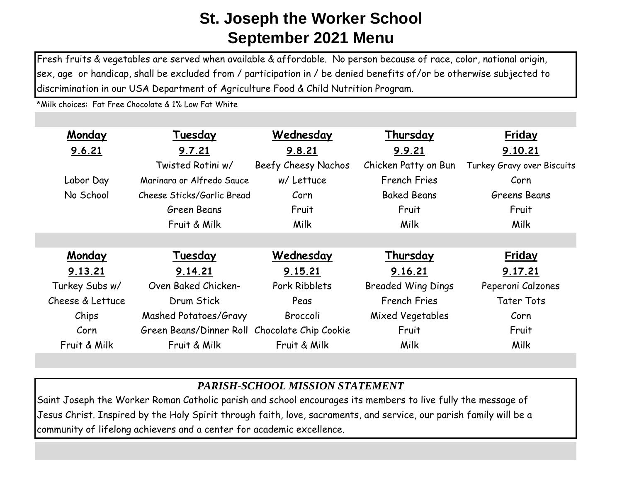Fresh fruits & vegetables are served when available & affordable. No person because of race, color, national origin, sex, age or handicap, shall be excluded from / participation in / be denied benefits of/or be otherwise subjected to discrimination in our USA Department of Agriculture Food & Child Nutrition Program.

\*Milk choices: Fat Free Chocolate & 1% Low Fat White

| Monday           | Tuesday                                       | Wednesday           | Thursday                  | <b>Friday</b>              |
|------------------|-----------------------------------------------|---------------------|---------------------------|----------------------------|
| 9.6.21           | 9.7.21                                        | 9.8.21              | 9.9.21                    | 9.10.21                    |
|                  | Twisted Rotini w/                             | Beefy Cheesy Nachos | Chicken Patty on Bun      | Turkey Gravy over Biscuits |
| Labor Day        | Marinara or Alfredo Sauce                     | w/ Lettuce          | <b>French Fries</b>       | Corn                       |
| No School        | Cheese Sticks/Garlic Bread                    | Corn                | <b>Baked Beans</b>        | Greens Beans               |
|                  | Green Beans                                   | Fruit               | Fruit                     | Fruit                      |
|                  | Fruit & Milk                                  | Milk                | <b>Milk</b>               | <b>Milk</b>                |
|                  |                                               |                     |                           |                            |
| Monday           | Tuesday                                       | Wednesday           | Thursday                  | <b>Friday</b>              |
| 9.13.21          | 9.14.21                                       | 9.15.21             | 9.16.21                   | 9.17.21                    |
| Turkey Subs w/   | Oven Baked Chicken-                           | Pork Ribblets       | <b>Breaded Wing Dings</b> | Peperoni Calzones          |
| Cheese & Lettuce | Drum Stick                                    | Peas                | <b>French Fries</b>       | <b>Tater Tots</b>          |
| Chips            | Mashed Potatoes/Gravy                         | Broccoli            | Mixed Vegetables          | Corn                       |
| Corn             | Green Beans/Dinner Roll Chocolate Chip Cookie |                     | Fruit                     | Fruit                      |
| Fruit & Milk     | Fruit & Milk                                  | Fruit & Milk        | <b>Milk</b>               | Milk                       |

## *PARISH-SCHOOL MISSION STATEMENT*

Saint Joseph the Worker Roman Catholic parish and school encourages its members to live fully the message of Jesus Christ. Inspired by the Holy Spirit through faith, love, sacraments, and service, our parish family will be a community of lifelong achievers and a center for academic excellence.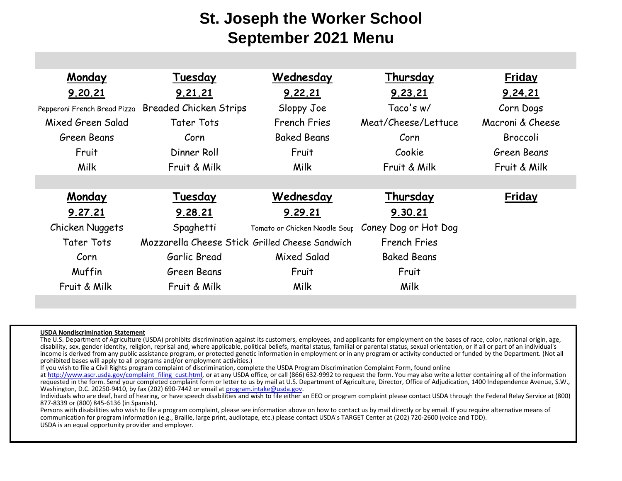| Monday                       | Tuesday                                         | Wednesday                                          | Thursday            | <b>Friday</b>    |
|------------------------------|-------------------------------------------------|----------------------------------------------------|---------------------|------------------|
| 9.20.21                      | 9.21.21                                         | 9.22.21                                            | 9.23.21             | 9.24.21          |
| Pepperoni French Bread Pizza | <b>Breaded Chicken Strips</b>                   | Sloppy Joe                                         | Taco's w/           | Corn Dogs        |
| Mixed Green Salad            | Tater Tots                                      | <b>French Fries</b>                                | Meat/Cheese/Lettuce | Macroni & Cheese |
| Green Beans                  | Corn                                            | <b>Baked Beans</b>                                 | Corn                | Broccoli         |
| Fruit                        | Dinner Roll                                     | Fruit                                              | Cookie              | Green Beans      |
| Milk                         | Fruit & Milk                                    | Milk                                               | Fruit & Milk        | Fruit & Milk     |
|                              |                                                 |                                                    |                     |                  |
| Monday                       | Tuesday                                         | Wednesday                                          | Thursday            | <b>Friday</b>    |
| 9.27.21                      | 9.28.21                                         | 9.29.21                                            | 9.30.21             |                  |
| Chicken Nuggets              | Spaghetti                                       | Tomato or Chicken Noodle Sour Coney Dog or Hot Dog |                     |                  |
| <b>Tater Tots</b>            | Mozzarella Cheese Stick Grilled Cheese Sandwich |                                                    | <b>French Fries</b> |                  |
| Corn                         | Garlic Bread                                    | Mixed Salad                                        | <b>Baked Beans</b>  |                  |
| Muffin                       | Green Beans                                     | Fruit                                              | Fruit               |                  |
| Fruit & Milk                 | Fruit & Milk                                    | Milk                                               | Milk                |                  |

## **USDA Nondiscrimination Statement**

The U.S. Department of Agriculture (USDA) prohibits discrimination against its customers, employees, and applicants for employment on the bases of race, color, national origin, age, disability, sex, gender identity, religion, reprisal and, where applicable, political beliefs, marital status, familial or parental status, sexual orientation, or if all or part of an individual's income is derived from any public assistance program, or protected genetic information in employment or in any program or activity conducted or funded by the Department. (Not all prohibited bases will apply to all programs and/or employment activities.)

If you wish to file a Civil Rights program complaint of discrimination, complete the USDA Program Discrimination Complaint Form, found online

at http://www.ascr.usda.gov/complaint\_filing\_cust.html, or at any USDA office, or call (866) 632-9992 to request the form. You may also write a letter containing all of the information requested in the form. Send your completed complaint form or letter to us by mail at U.S. Department of Agriculture, Director, Office of Adjudication, 1400 Independence Avenue, S.W., Washington, D.C. 20250-9410, by fax (202) 690-7442 or email at program.intake@usda.gov.

Individuals who are deaf, hard of hearing, or have speech disabilities and wish to file either an EEO or program complaint please contact USDA through the Federal Relay Service at (800) 877-8339 or (800) 845-6136 (in Spanish).

Persons with disabilities who wish to file a program complaint, please see information above on how to contact us by mail directly or by email. If you require alternative means of communication for program information (e.g., Braille, large print, audiotape, etc.) please contact USDA's TARGET Center at (202) 720-2600 (voice and TDD). USDA is an equal opportunity provider and employer.